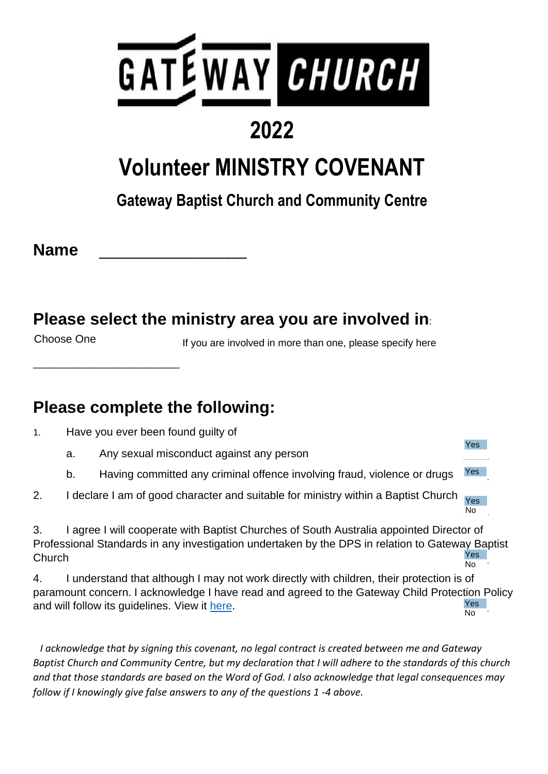

## **2022**

## **Volunteer MINISTRY COVENANT**

### **Gateway Baptist Church and Community Centre**

**Name** \_\_\_\_\_\_\_\_\_\_\_\_\_\_\_\_ **NAME**

\_\_\_\_\_\_\_\_\_\_\_\_\_\_\_\_\_\_\_\_\_\_\_\_\_\_

#### **Please select the ministry area you are involved in**:

Choose One

If you are involved in more than one, please specify here

**Yes** 

#### **Please complete the following:**

- 1. Have you ever been found guilty of
	- a. Any sexual misconduct against any person
	- b. Having committed any criminal offence involving fraud, violence or drugs Yes
- 2. I declare I am of good character and suitable for ministry within a Baptist Church No<sub>1</sub> Yes

3. I agree I will cooperate with Baptist Churches of South Australia appointed Director of Professional Standards in any investigation undertaken by the DPS in relation to Gateway Baptist Church Test and the contract of the contract of the contract of the contract of the contract of the contract of the contract of the contract of the contract of the contract of the contract of the contract of the contract o **Yes** No

4. I understand that although I may not work directly with children, their protection is of paramount concern. I acknowledge I have read and agreed to the Gateway Child Protection Policy and will follow its guidelines. View it here. Yes No

 *I acknowledge that by signing this covenant, no legal contract is created between me and Gateway Baptist Church and Community Centre, but my declaration that I will adhere to the standards of this church and that those standards are based on the Word of God. I also acknowledge that legal consequences may follow if I knowingly give false answers to any of the questions 1 -4 above.*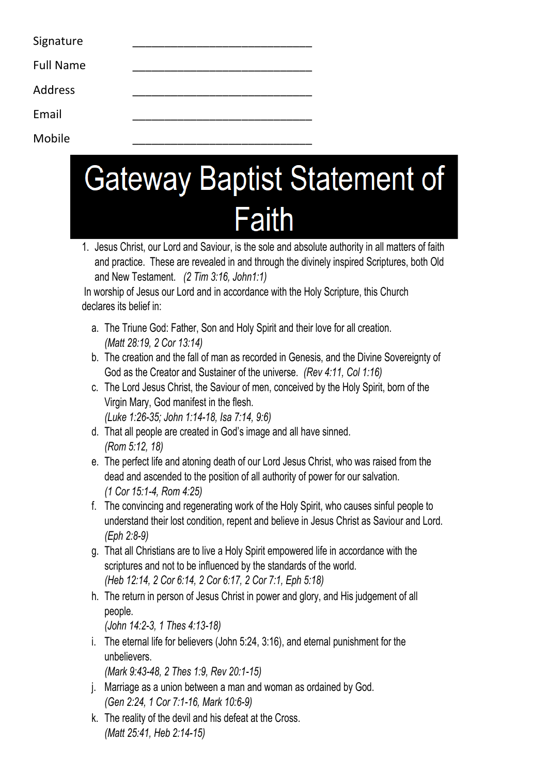| Signature        |  |
|------------------|--|
| <b>Full Name</b> |  |
| Address          |  |

Email \_\_\_\_\_\_\_\_\_\_\_\_\_\_\_\_\_\_\_\_\_\_\_\_\_\_\_\_

Mobile \_\_\_\_\_\_\_\_\_\_\_\_\_\_\_\_\_\_\_\_\_\_\_\_\_\_\_\_

# **Gateway Baptist Statement of Faith**

1. Jesus Christ, our Lord and Saviour, is the sole and absolute authority in all matters of faith and practice. These are revealed in and through the divinely inspired Scriptures, both Old and New Testament. *(2 Tim 3:16, John1:1)*

In worship of Jesus our Lord and in accordance with the Holy Scripture, this Church declares its belief in:

- a. The Triune God: Father, Son and Holy Spirit and their love for all creation. *(Matt 28:19, 2 Cor 13:14)*
- b. The creation and the fall of man as recorded in Genesis, and the Divine Sovereignty of God as the Creator and Sustainer of the universe. *(Rev 4:11, Col 1:16)*
- c. The Lord Jesus Christ, the Saviour of men, conceived by the Holy Spirit, born of the Virgin Mary, God manifest in the flesh. *(Luke 1:26-35; John 1:14-18, Isa 7:14, 9:6)*
- d. That all people are created in God's image and all have sinned. *(Rom 5:12, 18)*
- e. The perfect life and atoning death of our Lord Jesus Christ, who was raised from the dead and ascended to the position of all authority of power for our salvation. *(1 Cor 15:1-4, Rom 4:25)*
- f. The convincing and regenerating work of the Holy Spirit, who causes sinful people to understand their lost condition, repent and believe in Jesus Christ as Saviour and Lord. *(Eph 2:8-9)*
- g. That all Christians are to live a Holy Spirit empowered life in accordance with the scriptures and not to be influenced by the standards of the world. *(Heb 12:14, 2 Cor 6:14, 2 Cor 6:17, 2 Cor 7:1, Eph 5:18)*
- h. The return in person of Jesus Christ in power and glory, and His judgement of all people. *(John 14:2-3, 1 Thes 4:13-18)*
- i. The eternal life for believers (John 5:24, 3:16), and eternal punishment for the unbelievers.

*(Mark 9:43-48, 2 Thes 1:9, Rev 20:1-15)* 

- j. Marriage as a union between a man and woman as ordained by God. *(Gen 2:24, 1 Cor 7:1-16, Mark 10:6-9)*
- k. The reality of the devil and his defeat at the Cross. *(Matt 25:41, Heb 2:14-15)*